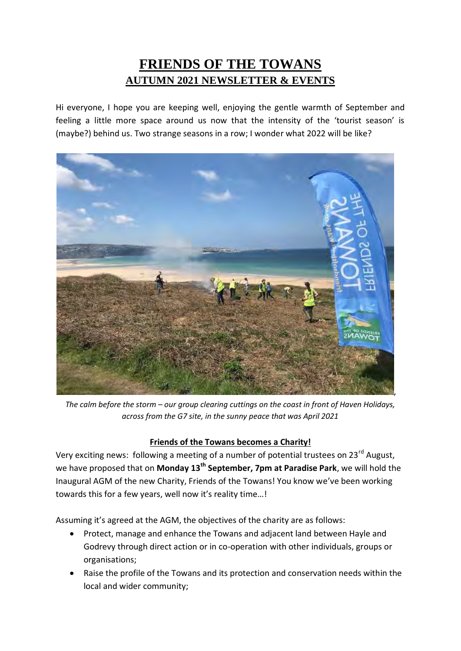# **FRIENDS OF THE TOWANS AUTUMN 2021 NEWSLETTER & EVENTS**

Hi everyone, I hope you are keeping well, enjoying the gentle warmth of September and feeling a little more space around us now that the intensity of the 'tourist season' is (maybe?) behind us. Two strange seasons in a row; I wonder what 2022 will be like?



*The calm before the storm – our group clearing cuttings on the coast in front of Haven Holidays, across from the G7 site, in the sunny peace that was April 2021* 

### **Friends of the Towans becomes a Charity!**

Very exciting news: following a meeting of a number of potential trustees on 23<sup>rd</sup> August, we have proposed that on **Monday 13th September, 7pm at Paradise Park**, we will hold the Inaugural AGM of the new Charity, Friends of the Towans! You know we've been working towards this for a few years, well now it's reality time…!

Assuming it's agreed at the AGM, the objectives of the charity are as follows:

- Protect, manage and enhance the Towans and adjacent land between Hayle and Godrevy through direct action or in co-operation with other individuals, groups or organisations;
- Raise the profile of the Towans and its protection and conservation needs within the local and wider community;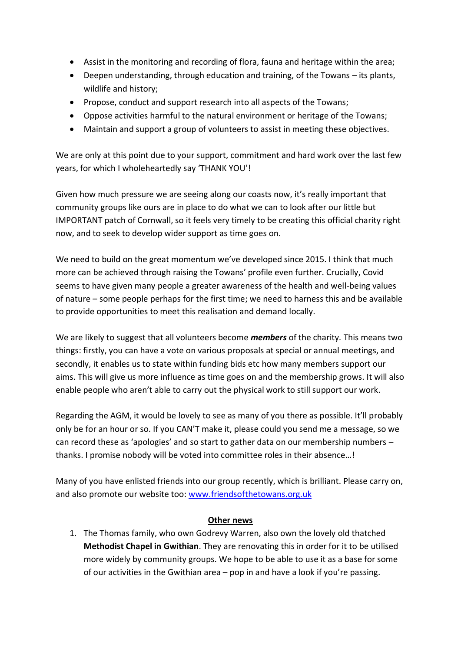- Assist in the monitoring and recording of flora, fauna and heritage within the area;
- Deepen understanding, through education and training, of the Towans its plants, wildlife and history;
- Propose, conduct and support research into all aspects of the Towans;
- Oppose activities harmful to the natural environment or heritage of the Towans;
- Maintain and support a group of volunteers to assist in meeting these objectives.

We are only at this point due to your support, commitment and hard work over the last few years, for which I wholeheartedly say 'THANK YOU'!

Given how much pressure we are seeing along our coasts now, it's really important that community groups like ours are in place to do what we can to look after our little but IMPORTANT patch of Cornwall, so it feels very timely to be creating this official charity right now, and to seek to develop wider support as time goes on.

We need to build on the great momentum we've developed since 2015. I think that much more can be achieved through raising the Towans' profile even further. Crucially, Covid seems to have given many people a greater awareness of the health and well-being values of nature – some people perhaps for the first time; we need to harness this and be available to provide opportunities to meet this realisation and demand locally.

We are likely to suggest that all volunteers become *members* of the charity*.* This means two things: firstly, you can have a vote on various proposals at special or annual meetings, and secondly, it enables us to state within funding bids etc how many members support our aims. This will give us more influence as time goes on and the membership grows. It will also enable people who aren't able to carry out the physical work to still support our work.

Regarding the AGM, it would be lovely to see as many of you there as possible. It'll probably only be for an hour or so. If you CAN'T make it, please could you send me a message, so we can record these as 'apologies' and so start to gather data on our membership numbers – thanks. I promise nobody will be voted into committee roles in their absence…!

Many of you have enlisted friends into our group recently, which is brilliant. Please carry on, and also promote our website too: [www.friendsofthetowans.org.uk](http://www.friendsofthetowans.org.uk/)

### **Other news**

1. The Thomas family, who own Godrevy Warren, also own the lovely old thatched **Methodist Chapel in Gwithian**. They are renovating this in order for it to be utilised more widely by community groups. We hope to be able to use it as a base for some of our activities in the Gwithian area – pop in and have a look if you're passing.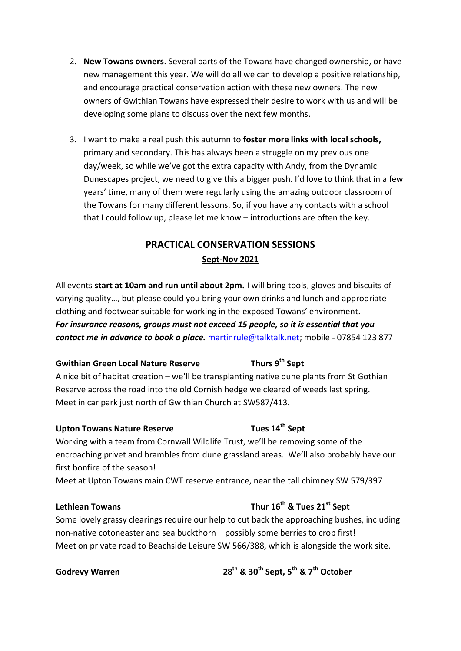- 2. **New Towans owners**. Several parts of the Towans have changed ownership, or have new management this year. We will do all we can to develop a positive relationship, and encourage practical conservation action with these new owners. The new owners of Gwithian Towans have expressed their desire to work with us and will be developing some plans to discuss over the next few months.
- 3. I want to make a real push this autumn to **foster more links with local schools,** primary and secondary. This has always been a struggle on my previous one day/week, so while we've got the extra capacity with Andy, from the Dynamic Dunescapes project, we need to give this a bigger push. I'd love to think that in a few years' time, many of them were regularly using the amazing outdoor classroom of the Towans for many different lessons. So, if you have any contacts with a school that I could follow up, please let me know – introductions are often the key.

### **PRACTICAL CONSERVATION SESSIONS Sept-Nov 2021**

All events **start at 10am and run until about 2pm.** I will bring tools, gloves and biscuits of varying quality…, but please could you bring your own drinks and lunch and appropriate clothing and footwear suitable for working in the exposed Towans' environment. *For insurance reasons, groups must not exceed 15 people, so it is essential that you contact me in advance to book a place.* [martinrule@talktalk.net;](mailto:martinrule@talktalk.net) mobile - 07854 123 877

### **Gwithian Green Local Nature Reserve Thurs 9th Sept**

A nice bit of habitat creation – we'll be transplanting native dune plants from St Gothian Reserve across the road into the old Cornish hedge we cleared of weeds last spring. Meet in car park just north of Gwithian Church at SW587/413.

### Upton Towans Nature Reserve Tues 14<sup>th</sup> Sept

Working with a team from Cornwall Wildlife Trust, we'll be removing some of the encroaching privet and brambles from dune grassland areas. We'll also probably have our first bonfire of the season!

Meet at Upton Towans main CWT reserve entrance, near the tall chimney SW 579/397

## **Lethlean Towans Thur 16th & Tues 21st Sept**

Some lovely grassy clearings require our help to cut back the approaching bushes, including non-native cotoneaster and sea buckthorn – possibly some berries to crop first! Meet on private road to Beachside Leisure SW 566/388, which is alongside the work site.

**Godrevy Warren 28th & 30th Sept, 5th & 7th October**